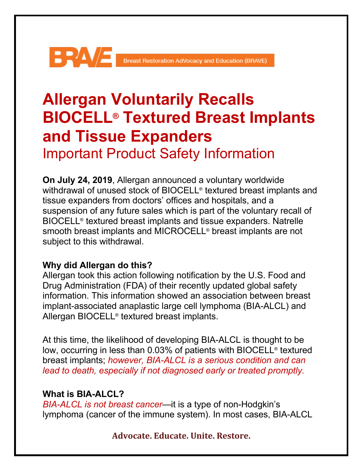# Breast Restoration AdVocacy and Education (BRAVE)

# **Allergan Voluntarily Recalls BIOCELL® Textured Breast Implants and Tissue Expanders** Important Product Safety Information

**On July 24, 2019**, Allergan announced a voluntary worldwide withdrawal of unused stock of BIOCELL<sup>®</sup> textured breast implants and tissue expanders from doctors' offices and hospitals, and a suspension of any future sales which is part of the voluntary recall of BIOCELL® textured breast implants and tissue expanders. Natrelle smooth breast implants and MICROCELL® breast implants are not subject to this withdrawal.

# **Why did Allergan do this?**

Allergan took this action following notification by the U.S. Food and Drug Administration (FDA) of their recently updated global safety information. This information showed an association between breast implant-associated anaplastic large cell lymphoma (BIA-ALCL) and Allergan BIOCELL® textured breast implants.

At this time, the likelihood of developing BIA-ALCL is thought to be low, occurring in less than 0.03% of patients with BIOCELL® textured breast implants; *however, BIA-ALCL is a serious condition and can lead to death, especially if not diagnosed early or treated promptly.*

# **What is BIA-ALCL?**

*BIA-ALCL is not breast cancer*—it is a type of non-Hodgkin's lymphoma (cancer of the immune system). In most cases, BIA-ALCL

# **Advocate. Educate. Unite. Restore.**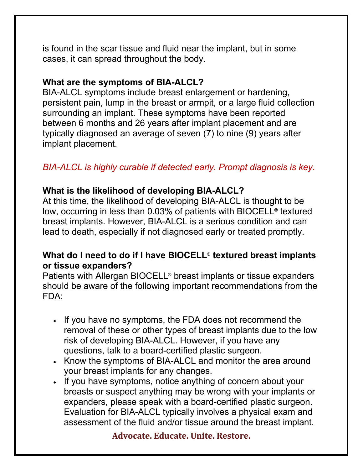is found in the scar tissue and fluid near the implant, but in some cases, it can spread throughout the body.

#### **What are the symptoms of BIA-ALCL?**

BIA-ALCL symptoms include breast enlargement or hardening, persistent pain, lump in the breast or armpit, or a large fluid collection surrounding an implant. These symptoms have been reported between 6 months and 26 years after implant placement and are typically diagnosed an average of seven (7) to nine (9) years after implant placement.

# *BIA-ALCL is highly curable if detected early. Prompt diagnosis is key.*

### **What is the likelihood of developing BIA-ALCL?**

At this time, the likelihood of developing BIA-ALCL is thought to be low, occurring in less than 0.03% of patients with BIOCELL® textured breast implants. However, BIA-ALCL is a serious condition and can lead to death, especially if not diagnosed early or treated promptly.

### **What do I need to do if I have BIOCELL® textured breast implants or tissue expanders?**

Patients with Allergan BIOCELL® breast implants or tissue expanders should be aware of the following important recommendations from the FDA:

- If you have no symptoms, the FDA does not recommend the removal of these or other types of breast implants due to the low risk of developing BIA-ALCL. However, if you have any questions, talk to a board-certified plastic surgeon.
- Know the symptoms of BIA-ALCL and monitor the area around your breast implants for any changes.
- If you have symptoms, notice anything of concern about your breasts or suspect anything may be wrong with your implants or expanders, please speak with a board-certified plastic surgeon. Evaluation for BIA-ALCL typically involves a physical exam and assessment of the fluid and/or tissue around the breast implant.

#### **Advocate. Educate. Unite. Restore.**